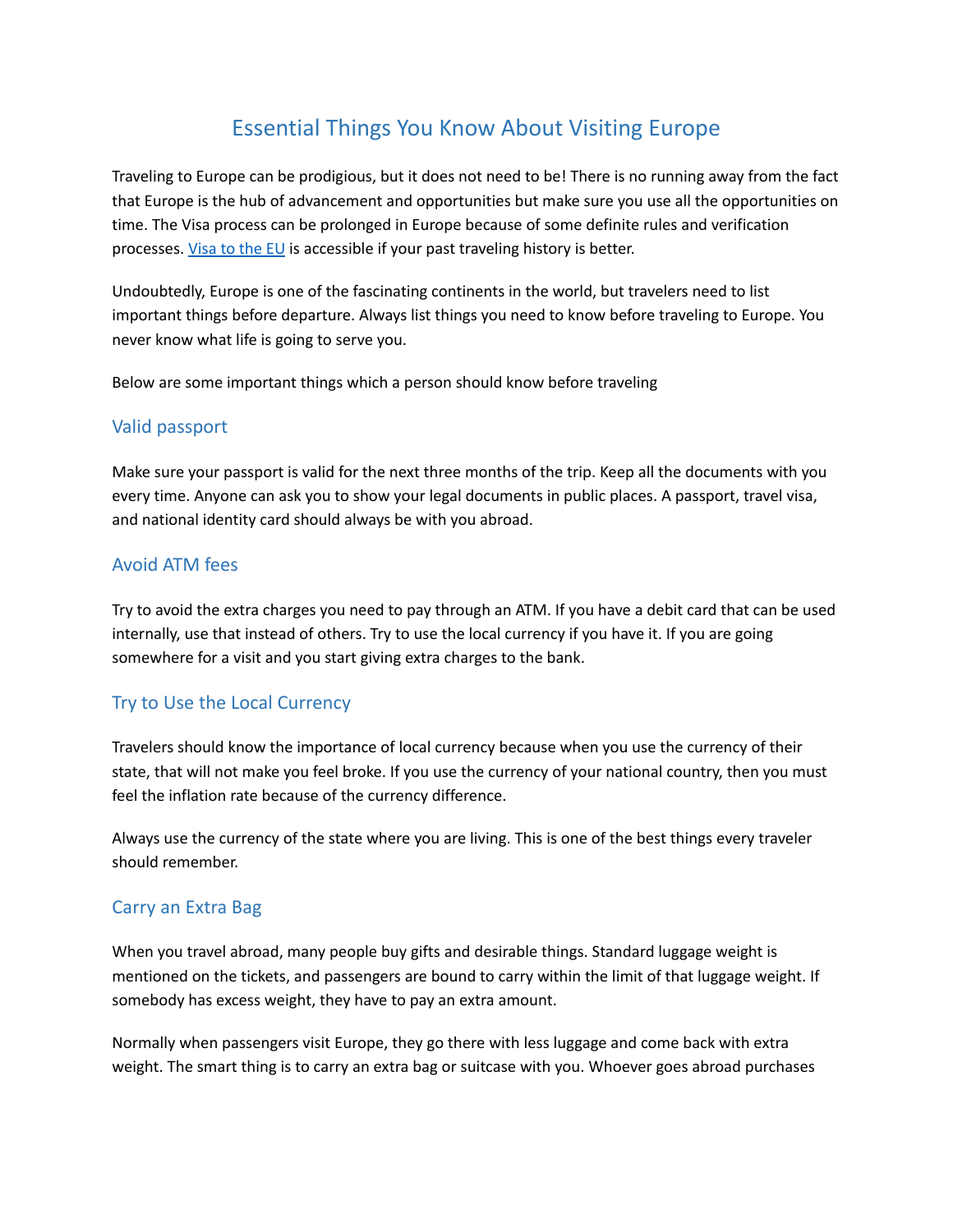# Essential Things You Know About Visiting Europe

Traveling to Europe can be prodigious, but it does not need to be! There is no running away from the fact that Europe is the hub of advancement and opportunities but make sure you use all the opportunities on time. The Visa process can be prolonged in Europe because of some definite rules and verification processes. [Visa](https://www.visagov.com/en/blog/etias-visa-for-europe) to the EU is accessible if your past traveling history is better.

Undoubtedly, Europe is one of the fascinating continents in the world, but travelers need to list important things before departure. Always list things you need to know before traveling to Europe. You never know what life is going to serve you.

Below are some important things which a person should know before traveling

#### Valid passport

Make sure your passport is valid for the next three months of the trip. Keep all the documents with you every time. Anyone can ask you to show your legal documents in public places. A passport, travel visa, and national identity card should always be with you abroad.

#### Avoid ATM fees

Try to avoid the extra charges you need to pay through an ATM. If you have a debit card that can be used internally, use that instead of others. Try to use the local currency if you have it. If you are going somewhere for a visit and you start giving extra charges to the bank.

## Try to Use the Local Currency

Travelers should know the importance of local currency because when you use the currency of their state, that will not make you feel broke. If you use the currency of your national country, then you must feel the inflation rate because of the currency difference.

Always use the currency of the state where you are living. This is one of the best things every traveler should remember.

## Carry an Extra Bag

When you travel abroad, many people buy gifts and desirable things. Standard luggage weight is mentioned on the tickets, and passengers are bound to carry within the limit of that luggage weight. If somebody has excess weight, they have to pay an extra amount.

Normally when passengers visit Europe, they go there with less luggage and come back with extra weight. The smart thing is to carry an extra bag or suitcase with you. Whoever goes abroad purchases